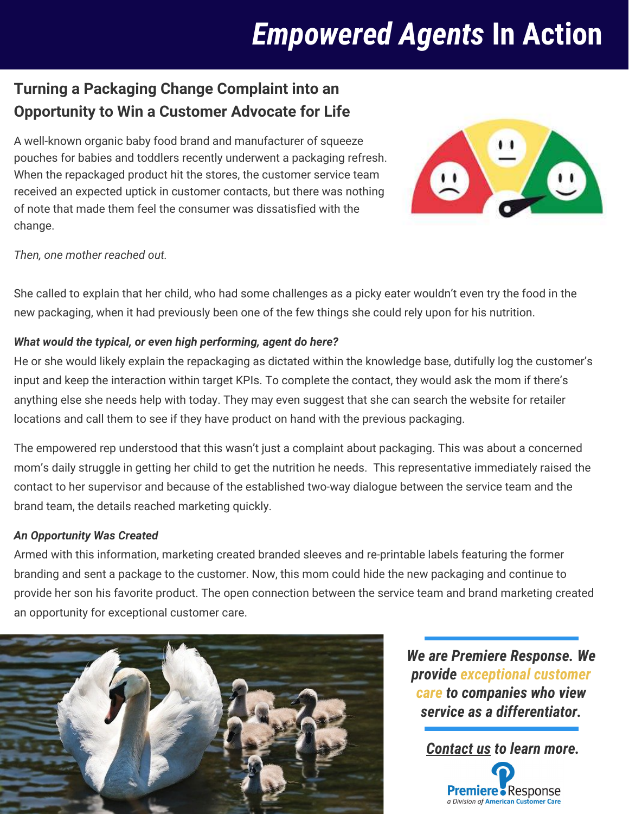## *Empowered Agents* **In Action**

### **Turning a Packaging Change Complaint into an Opportunity to Win a Customer Advocate for Life**

A well-known organic baby food brand and manufacturer of squeeze pouches for babies and toddlers recently underwent a packaging refresh. When the repackaged product hit the stores, the customer service team received an expected uptick in customer contacts, but there was nothing of note that made them feel the consumer was dissatisfied with the change.



*Then, one mother reached out.* 

She called to explain that her child, who had some challenges as a picky eater wouldn't even try the food in the new packaging, when it had previously been one of the few things she could rely upon for his nutrition.

#### *What would the typical, or even high performing, agent do here?*

He or she would likely explain the repackaging as dictated within the knowledge base, dutifully log the customer's input and keep the interaction within target KPIs. To complete the contact, they would ask the mom if there's anything else she needs help with today. They may even suggest that she can search the website for retailer locations and call them to see if they have product on hand with the previous packaging.

The empowered rep understood that this wasn't just a complaint about packaging. This was about a concerned mom's daily struggle in getting her child to get the nutrition he needs. This representative immediately raised the contact to her supervisor and because of the established two-way dialogue between the service team and the brand team, the details reached marketing quickly.

#### *An Opportunity Was Created*

Armed with this information, marketing created branded sleeves and re-printable labels featuring the former branding and sent a package to the customer. Now, this mom could hide the new packaging and continue to provide her son his favorite product. The open connection between the service team and brand marketing created an opportunity for exceptional customer care.



*We are Premiere Response. We provide exceptional customer care to companies who view service as a differentiator.*